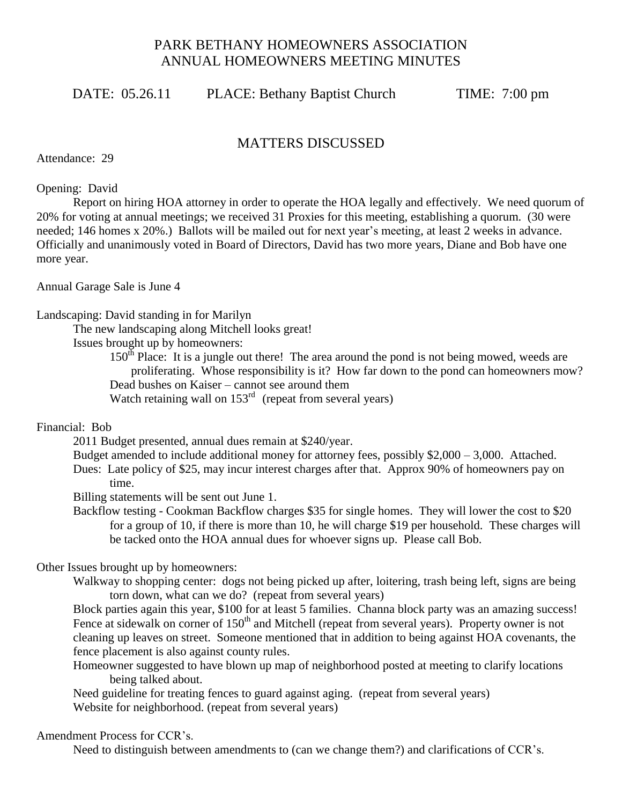# PARK BETHANY HOMEOWNERS ASSOCIATION ANNUAL HOMEOWNERS MEETING MINUTES

DATE: 05.26.11 PLACE: Bethany Baptist Church TIME: 7:00 pm

## MATTERS DISCUSSED

Attendance: 29

Opening: David

Report on hiring HOA attorney in order to operate the HOA legally and effectively. We need quorum of 20% for voting at annual meetings; we received 31 Proxies for this meeting, establishing a quorum. (30 were needed; 146 homes x 20%.) Ballots will be mailed out for next year's meeting, at least 2 weeks in advance. Officially and unanimously voted in Board of Directors, David has two more years, Diane and Bob have one more year.

Annual Garage Sale is June 4

#### Landscaping: David standing in for Marilyn

The new landscaping along Mitchell looks great!

Issues brought up by homeowners:

 $150<sup>th</sup>$  Place: It is a jungle out there! The area around the pond is not being mowed, weeds are proliferating. Whose responsibility is it? How far down to the pond can homeowners mow? Dead bushes on Kaiser – cannot see around them Watch retaining wall on  $153<sup>rd</sup>$  (repeat from several years)

### Financial: Bob

2011 Budget presented, annual dues remain at \$240/year.

Budget amended to include additional money for attorney fees, possibly \$2,000 – 3,000. Attached. Dues: Late policy of \$25, may incur interest charges after that. Approx 90% of homeowners pay on time.

Billing statements will be sent out June 1.

Backflow testing - Cookman Backflow charges \$35 for single homes. They will lower the cost to \$20 for a group of 10, if there is more than 10, he will charge \$19 per household. These charges will be tacked onto the HOA annual dues for whoever signs up. Please call Bob.

### Other Issues brought up by homeowners:

Walkway to shopping center: dogs not being picked up after, loitering, trash being left, signs are being torn down, what can we do? (repeat from several years)

Block parties again this year, \$100 for at least 5 families. Channa block party was an amazing success! Fence at sidewalk on corner of 150<sup>th</sup> and Mitchell (repeat from several years). Property owner is not cleaning up leaves on street. Someone mentioned that in addition to being against HOA covenants, the fence placement is also against county rules.

Homeowner suggested to have blown up map of neighborhood posted at meeting to clarify locations being talked about.

Need guideline for treating fences to guard against aging. (repeat from several years) Website for neighborhood. (repeat from several years)

### Amendment Process for CCR's.

Need to distinguish between amendments to (can we change them?) and clarifications of CCR's.